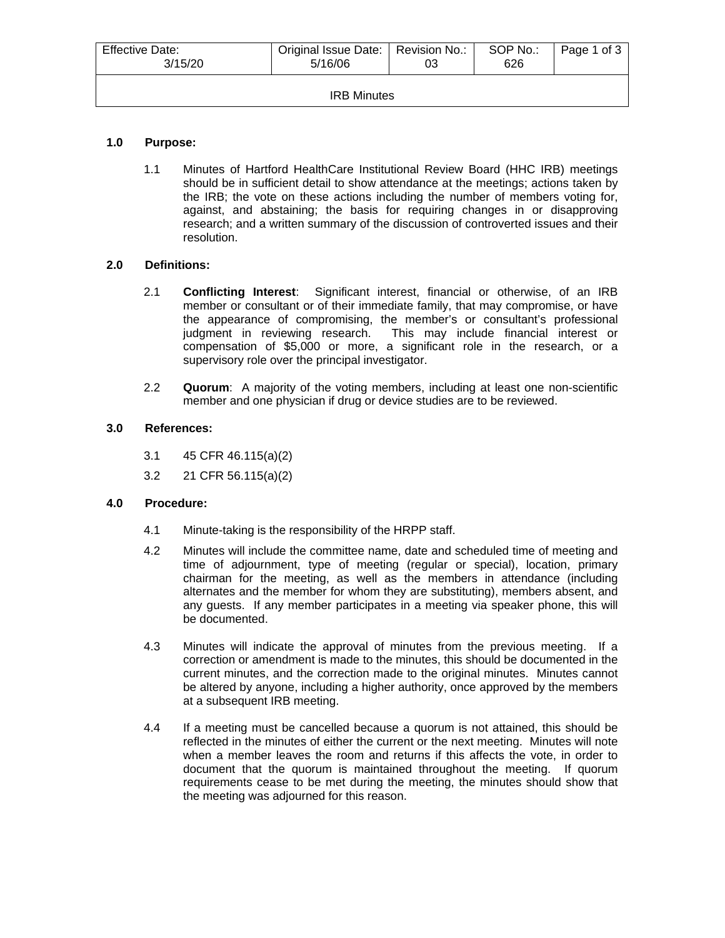| Effective Date:<br>3/15/20 | Original Issue Date:   Revision No.:<br>5/16/06 |  | SOP No.:<br>626 | Page 1 of 3 |  |
|----------------------------|-------------------------------------------------|--|-----------------|-------------|--|
| <b>IRB Minutes</b>         |                                                 |  |                 |             |  |

# **1.0 Purpose:**

1.1 Minutes of Hartford HealthCare Institutional Review Board (HHC IRB) meetings should be in sufficient detail to show attendance at the meetings; actions taken by the IRB; the vote on these actions including the number of members voting for, against, and abstaining; the basis for requiring changes in or disapproving research; and a written summary of the discussion of controverted issues and their resolution.

### **2.0 Definitions:**

- 2.1 **Conflicting Interest**: Significant interest, financial or otherwise, of an IRB member or consultant or of their immediate family, that may compromise, or have the appearance of compromising, the member's or consultant's professional judgment in reviewing research. This may include financial interest or compensation of \$5,000 or more, a significant role in the research, or a supervisory role over the principal investigator.
- 2.2 **Quorum**: A majority of the voting members, including at least one non-scientific member and one physician if drug or device studies are to be reviewed.

### **3.0 References:**

- 3.1 45 CFR 46.115(a)(2)
- 3.2 21 CFR 56.115(a)(2)

### **4.0 Procedure:**

- 4.1 Minute-taking is the responsibility of the HRPP staff.
- 4.2 Minutes will include the committee name, date and scheduled time of meeting and time of adjournment, type of meeting (regular or special), location, primary chairman for the meeting, as well as the members in attendance (including alternates and the member for whom they are substituting), members absent, and any guests. If any member participates in a meeting via speaker phone, this will be documented.
- 4.3 Minutes will indicate the approval of minutes from the previous meeting. If a correction or amendment is made to the minutes, this should be documented in the current minutes, and the correction made to the original minutes. Minutes cannot be altered by anyone, including a higher authority, once approved by the members at a subsequent IRB meeting.
- 4.4 If a meeting must be cancelled because a quorum is not attained, this should be reflected in the minutes of either the current or the next meeting. Minutes will note when a member leaves the room and returns if this affects the vote, in order to document that the quorum is maintained throughout the meeting. If quorum requirements cease to be met during the meeting, the minutes should show that the meeting was adjourned for this reason.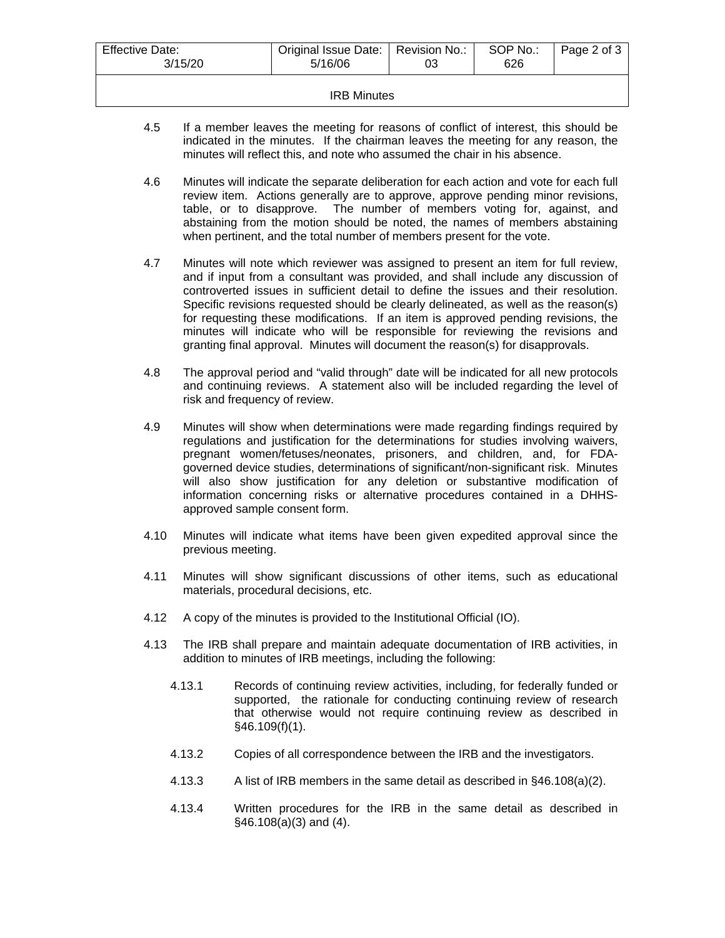| <b>Effective Date:</b><br>3/15/20 | Original Issue Date:   Revision No.:<br>5/16/06 | SOP No.:<br>626 | Page 2 of 3 |
|-----------------------------------|-------------------------------------------------|-----------------|-------------|
|                                   |                                                 |                 |             |

#### IRB Minutes

- 4.5 If a member leaves the meeting for reasons of conflict of interest, this should be indicated in the minutes. If the chairman leaves the meeting for any reason, the minutes will reflect this, and note who assumed the chair in his absence.
- 4.6 Minutes will indicate the separate deliberation for each action and vote for each full review item. Actions generally are to approve, approve pending minor revisions, table, or to disapprove. The number of members voting for, against, and abstaining from the motion should be noted, the names of members abstaining when pertinent, and the total number of members present for the vote.
- 4.7 Minutes will note which reviewer was assigned to present an item for full review, and if input from a consultant was provided, and shall include any discussion of controverted issues in sufficient detail to define the issues and their resolution. Specific revisions requested should be clearly delineated, as well as the reason(s) for requesting these modifications. If an item is approved pending revisions, the minutes will indicate who will be responsible for reviewing the revisions and granting final approval. Minutes will document the reason(s) for disapprovals.
- 4.8 The approval period and "valid through" date will be indicated for all new protocols and continuing reviews. A statement also will be included regarding the level of risk and frequency of review.
- 4.9 Minutes will show when determinations were made regarding findings required by regulations and justification for the determinations for studies involving waivers, pregnant women/fetuses/neonates, prisoners, and children, and, for FDAgoverned device studies, determinations of significant/non-significant risk. Minutes will also show justification for any deletion or substantive modification of information concerning risks or alternative procedures contained in a DHHSapproved sample consent form.
- 4.10 Minutes will indicate what items have been given expedited approval since the previous meeting.
- 4.11 Minutes will show significant discussions of other items, such as educational materials, procedural decisions, etc.
- 4.12 A copy of the minutes is provided to the Institutional Official (IO).
- 4.13 The IRB shall prepare and maintain adequate documentation of IRB activities, in addition to minutes of IRB meetings, including the following:
	- 4.13.1 Records of continuing review activities, including, for federally funded or supported, the rationale for conducting continuing review of research that otherwise would not require continuing review as described in §46.109(f)(1).
	- 4.13.2 Copies of all correspondence between the IRB and the investigators.
	- 4.13.3 A list of IRB members in the same detail as described in §46.108(a)(2).
	- 4.13.4 Written procedures for the IRB in the same detail as described in §46.108(a)(3) and (4).